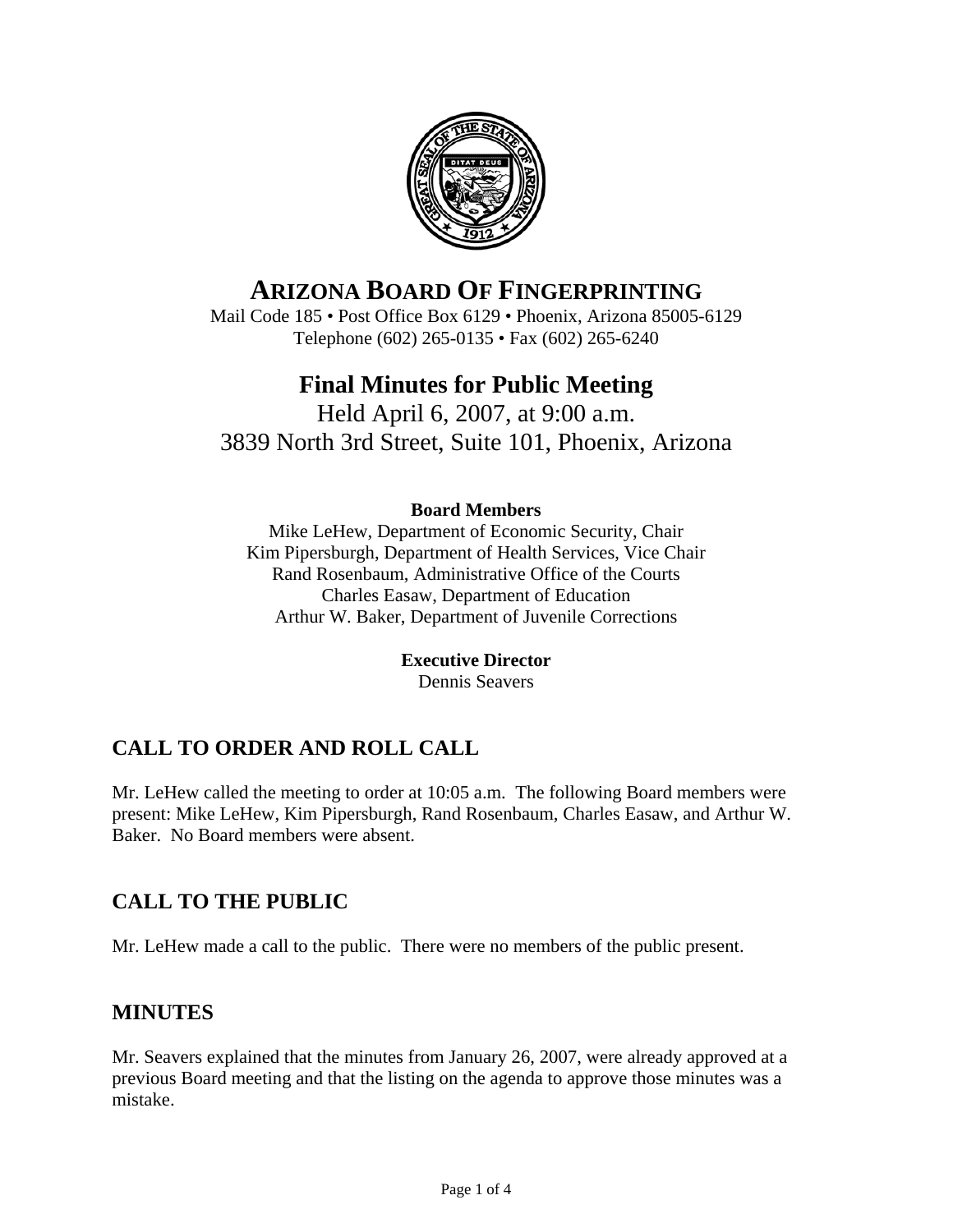

# **ARIZONA BOARD OF FINGERPRINTING**

Mail Code 185 • Post Office Box 6129 • Phoenix, Arizona 85005-6129 Telephone (602) 265-0135 • Fax (602) 265-6240

# **Final Minutes for Public Meeting**

Held April 6, 2007, at 9:00 a.m. 3839 North 3rd Street, Suite 101, Phoenix, Arizona

## **Board Members**

Mike LeHew, Department of Economic Security, Chair Kim Pipersburgh, Department of Health Services, Vice Chair Rand Rosenbaum, Administrative Office of the Courts Charles Easaw, Department of Education Arthur W. Baker, Department of Juvenile Corrections

**Executive Director** 

Dennis Seavers

# **CALL TO ORDER AND ROLL CALL**

Mr. LeHew called the meeting to order at 10:05 a.m. The following Board members were present: Mike LeHew, Kim Pipersburgh, Rand Rosenbaum, Charles Easaw, and Arthur W. Baker. No Board members were absent.

# **CALL TO THE PUBLIC**

Mr. LeHew made a call to the public. There were no members of the public present.

## **MINUTES**

Mr. Seavers explained that the minutes from January 26, 2007, were already approved at a previous Board meeting and that the listing on the agenda to approve those minutes was a mistake.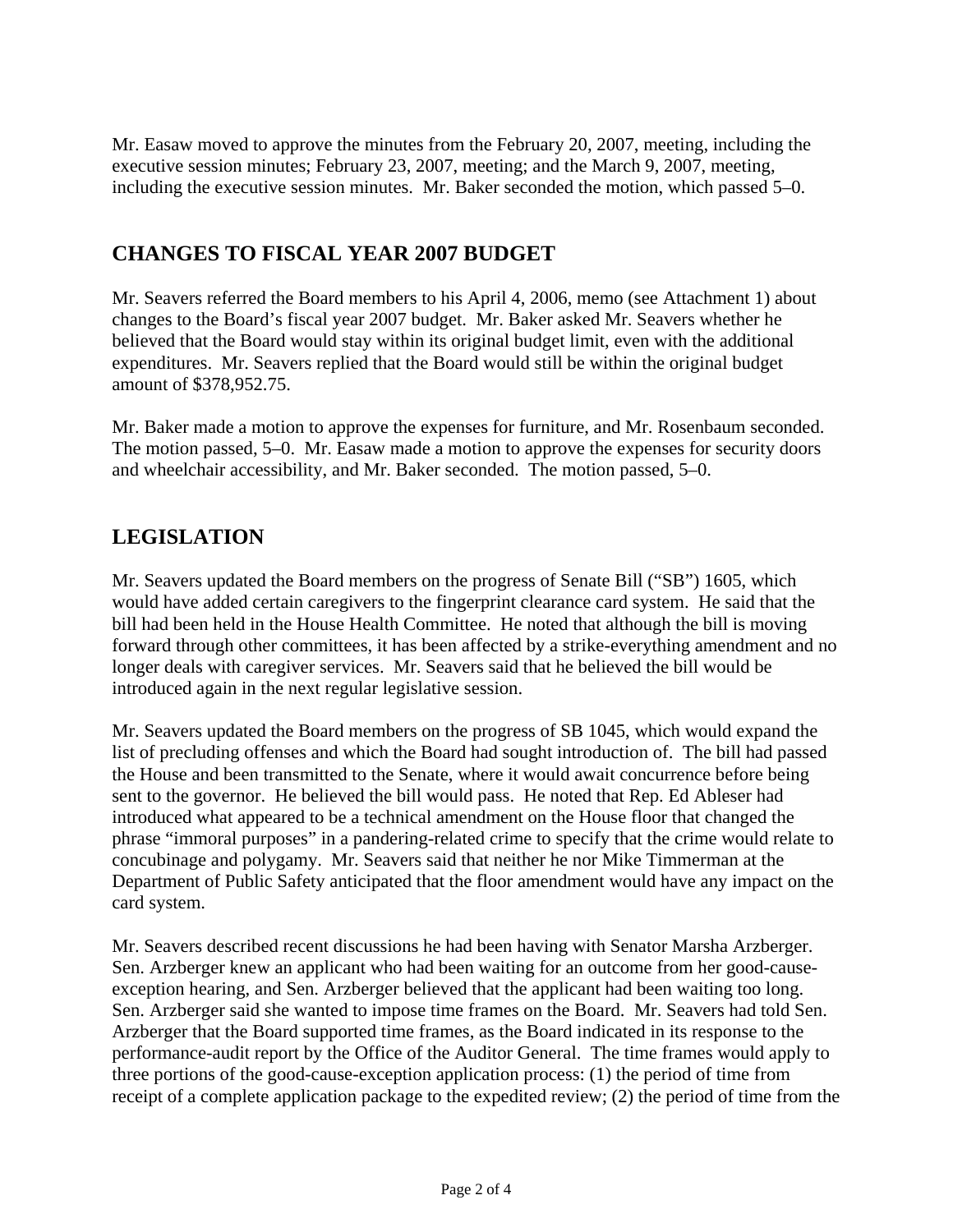Mr. Easaw moved to approve the minutes from the February 20, 2007, meeting, including the executive session minutes; February 23, 2007, meeting; and the March 9, 2007, meeting, including the executive session minutes. Mr. Baker seconded the motion, which passed 5–0.

# **CHANGES TO FISCAL YEAR 2007 BUDGET**

Mr. Seavers referred the Board members to his April 4, 2006, memo (see Attachment 1) about changes to the Board's fiscal year 2007 budget. Mr. Baker asked Mr. Seavers whether he believed that the Board would stay within its original budget limit, even with the additional expenditures. Mr. Seavers replied that the Board would still be within the original budget amount of \$378,952.75.

Mr. Baker made a motion to approve the expenses for furniture, and Mr. Rosenbaum seconded. The motion passed, 5–0. Mr. Easaw made a motion to approve the expenses for security doors and wheelchair accessibility, and Mr. Baker seconded. The motion passed, 5–0.

# **LEGISLATION**

Mr. Seavers updated the Board members on the progress of Senate Bill ("SB") 1605, which would have added certain caregivers to the fingerprint clearance card system. He said that the bill had been held in the House Health Committee. He noted that although the bill is moving forward through other committees, it has been affected by a strike-everything amendment and no longer deals with caregiver services. Mr. Seavers said that he believed the bill would be introduced again in the next regular legislative session.

Mr. Seavers updated the Board members on the progress of SB 1045, which would expand the list of precluding offenses and which the Board had sought introduction of. The bill had passed the House and been transmitted to the Senate, where it would await concurrence before being sent to the governor. He believed the bill would pass. He noted that Rep. Ed Ableser had introduced what appeared to be a technical amendment on the House floor that changed the phrase "immoral purposes" in a pandering-related crime to specify that the crime would relate to concubinage and polygamy. Mr. Seavers said that neither he nor Mike Timmerman at the Department of Public Safety anticipated that the floor amendment would have any impact on the card system.

Mr. Seavers described recent discussions he had been having with Senator Marsha Arzberger. Sen. Arzberger knew an applicant who had been waiting for an outcome from her good-causeexception hearing, and Sen. Arzberger believed that the applicant had been waiting too long. Sen. Arzberger said she wanted to impose time frames on the Board. Mr. Seavers had told Sen. Arzberger that the Board supported time frames, as the Board indicated in its response to the performance-audit report by the Office of the Auditor General. The time frames would apply to three portions of the good-cause-exception application process: (1) the period of time from receipt of a complete application package to the expedited review; (2) the period of time from the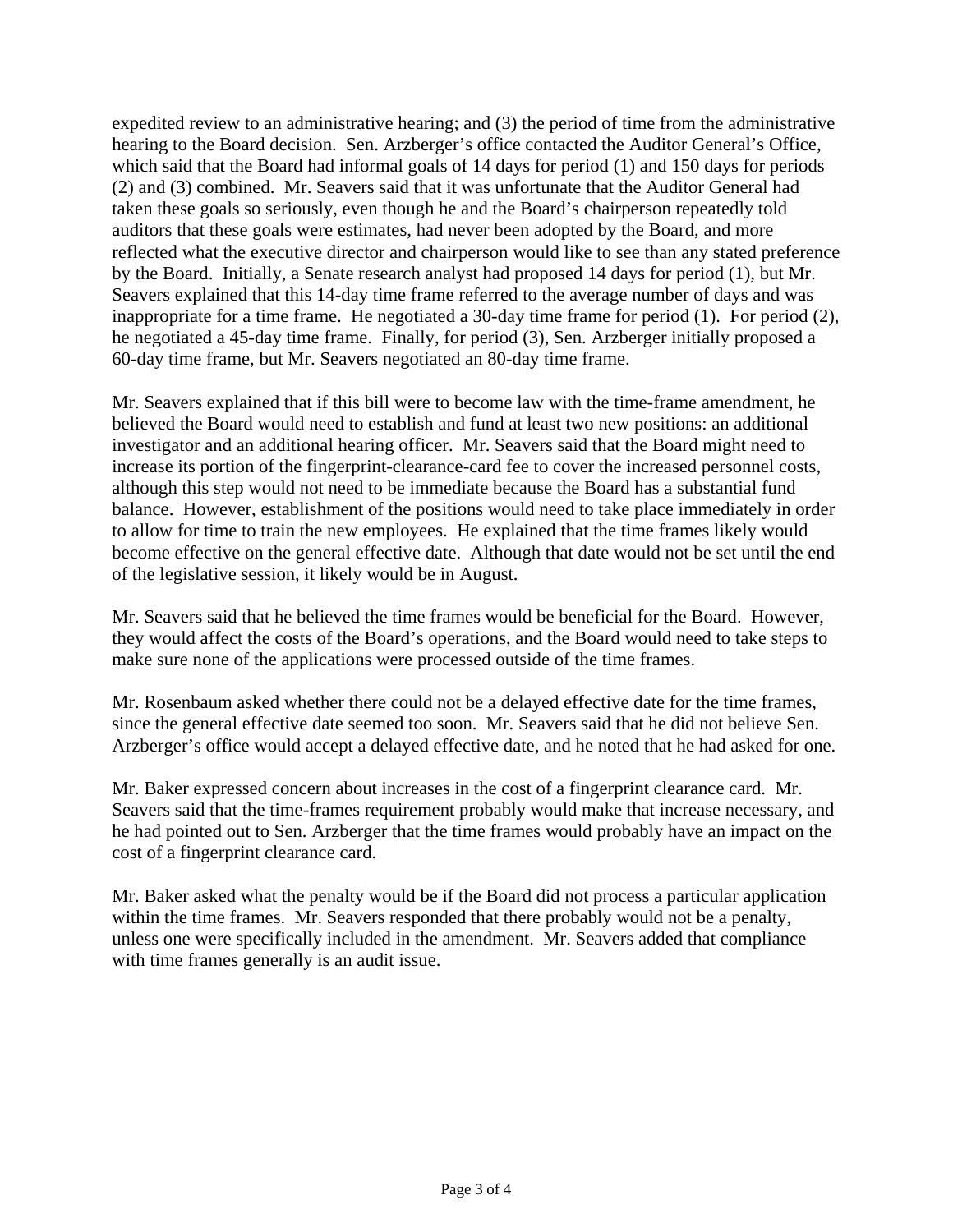expedited review to an administrative hearing; and (3) the period of time from the administrative hearing to the Board decision. Sen. Arzberger's office contacted the Auditor General's Office, which said that the Board had informal goals of 14 days for period (1) and 150 days for periods (2) and (3) combined. Mr. Seavers said that it was unfortunate that the Auditor General had taken these goals so seriously, even though he and the Board's chairperson repeatedly told auditors that these goals were estimates, had never been adopted by the Board, and more reflected what the executive director and chairperson would like to see than any stated preference by the Board. Initially, a Senate research analyst had proposed 14 days for period (1), but Mr. Seavers explained that this 14-day time frame referred to the average number of days and was inappropriate for a time frame. He negotiated a 30-day time frame for period (1). For period (2), he negotiated a 45-day time frame. Finally, for period (3), Sen. Arzberger initially proposed a 60-day time frame, but Mr. Seavers negotiated an 80-day time frame.

Mr. Seavers explained that if this bill were to become law with the time-frame amendment, he believed the Board would need to establish and fund at least two new positions: an additional investigator and an additional hearing officer. Mr. Seavers said that the Board might need to increase its portion of the fingerprint-clearance-card fee to cover the increased personnel costs, although this step would not need to be immediate because the Board has a substantial fund balance. However, establishment of the positions would need to take place immediately in order to allow for time to train the new employees. He explained that the time frames likely would become effective on the general effective date. Although that date would not be set until the end of the legislative session, it likely would be in August.

Mr. Seavers said that he believed the time frames would be beneficial for the Board. However, they would affect the costs of the Board's operations, and the Board would need to take steps to make sure none of the applications were processed outside of the time frames.

Mr. Rosenbaum asked whether there could not be a delayed effective date for the time frames, since the general effective date seemed too soon. Mr. Seavers said that he did not believe Sen. Arzberger's office would accept a delayed effective date, and he noted that he had asked for one.

Mr. Baker expressed concern about increases in the cost of a fingerprint clearance card. Mr. Seavers said that the time-frames requirement probably would make that increase necessary, and he had pointed out to Sen. Arzberger that the time frames would probably have an impact on the cost of a fingerprint clearance card.

Mr. Baker asked what the penalty would be if the Board did not process a particular application within the time frames. Mr. Seavers responded that there probably would not be a penalty, unless one were specifically included in the amendment. Mr. Seavers added that compliance with time frames generally is an audit issue.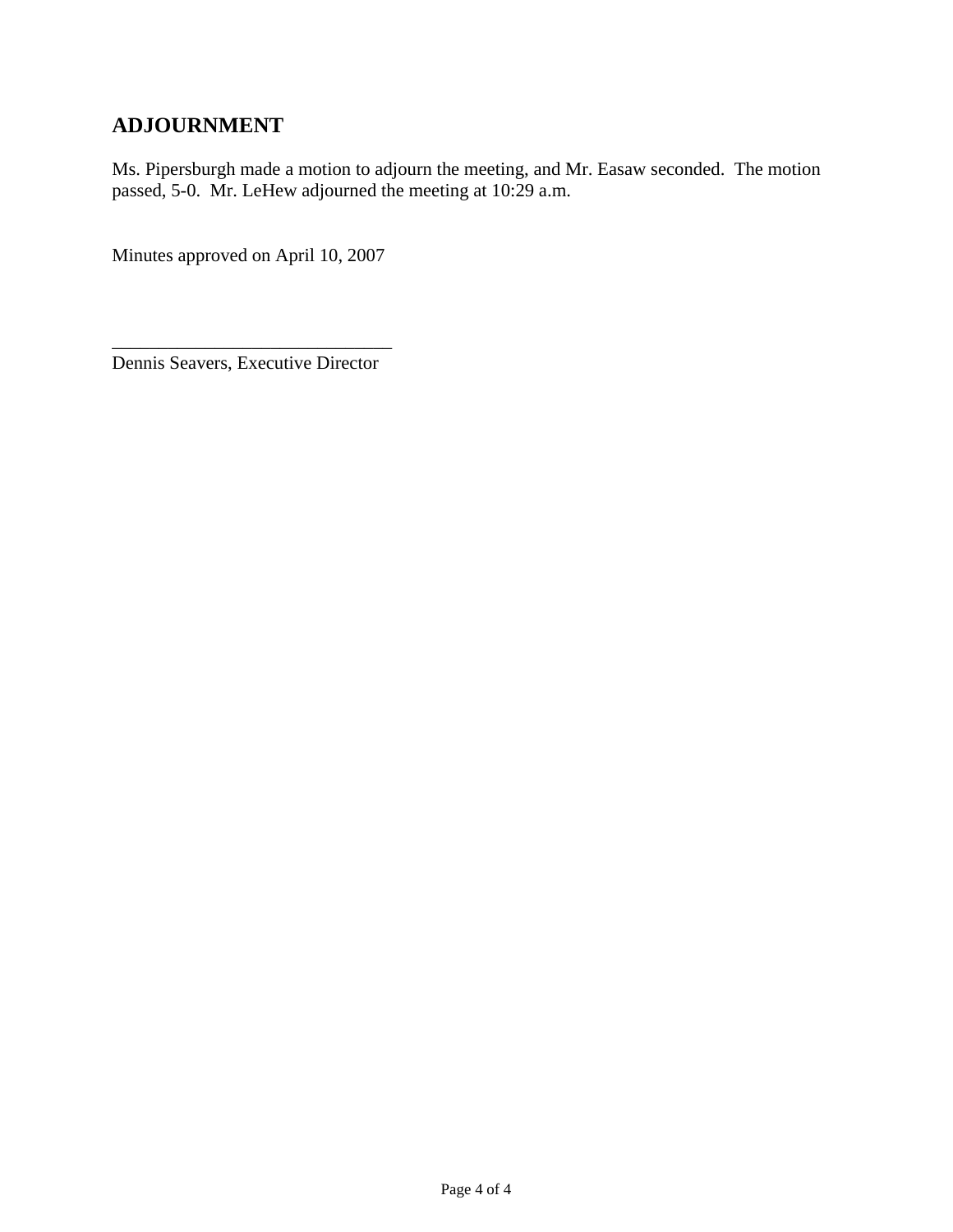## **ADJOURNMENT**

Ms. Pipersburgh made a motion to adjourn the meeting, and Mr. Easaw seconded. The motion passed, 5-0. Mr. LeHew adjourned the meeting at 10:29 a.m.

Minutes approved on April 10, 2007

\_\_\_\_\_\_\_\_\_\_\_\_\_\_\_\_\_\_\_\_\_\_\_\_\_\_\_\_\_\_ Dennis Seavers, Executive Director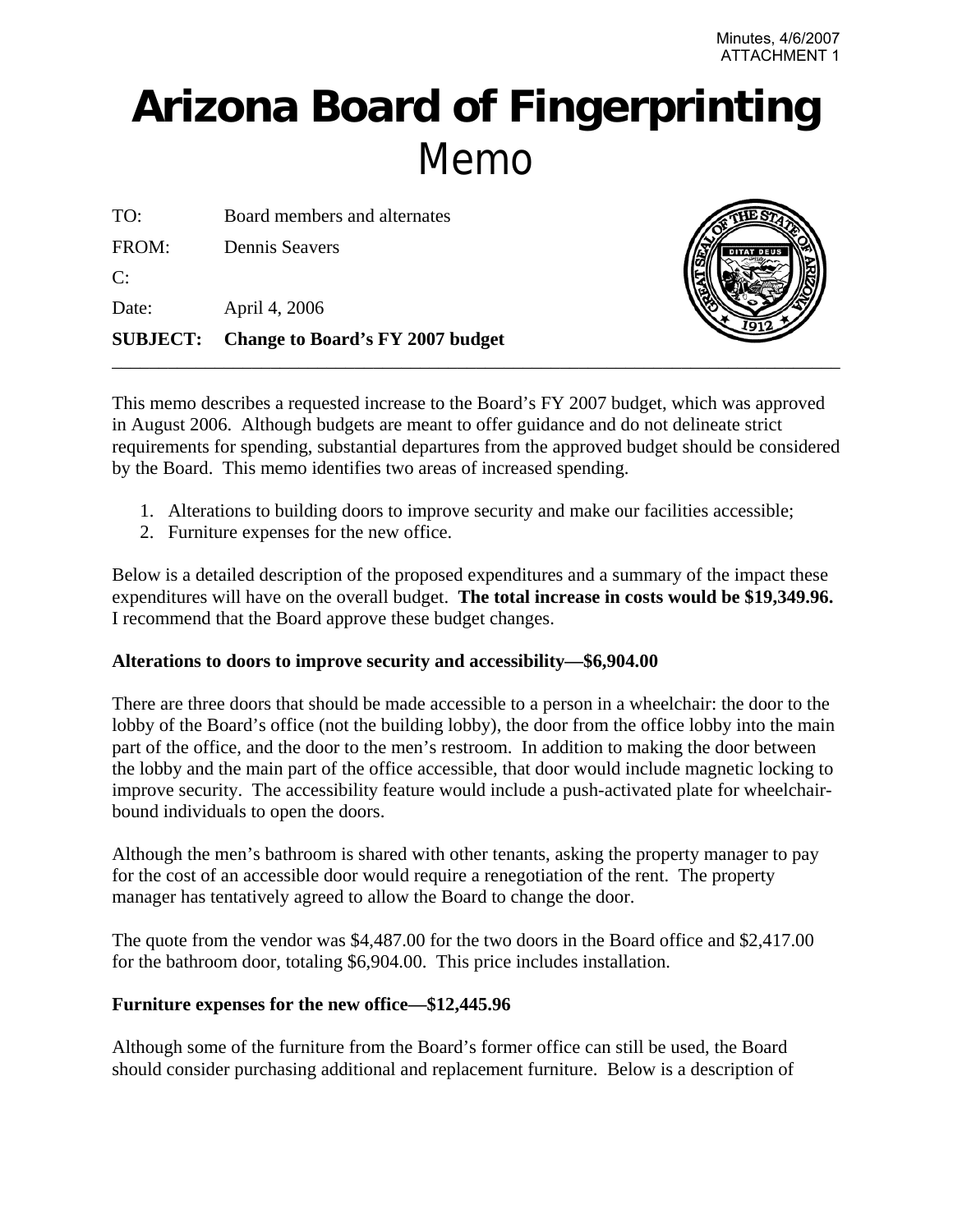# **Arizona Board of Fingerprinting** Memo

|       | <b>SUBJECT:</b> Change to Board's FY 2007 budget |
|-------|--------------------------------------------------|
| Date: | April 4, 2006                                    |
| C:    |                                                  |
| FROM: | Dennis Seavers                                   |
| TO:   | Board members and alternates                     |



This memo describes a requested increase to the Board's FY 2007 budget, which was approved in August 2006. Although budgets are meant to offer guidance and do not delineate strict requirements for spending, substantial departures from the approved budget should be considered by the Board. This memo identifies two areas of increased spending.

- 1. Alterations to building doors to improve security and make our facilities accessible;
- 2. Furniture expenses for the new office.

Below is a detailed description of the proposed expenditures and a summary of the impact these expenditures will have on the overall budget. **The total increase in costs would be \$19,349.96.** I recommend that the Board approve these budget changes.

## **Alterations to doors to improve security and accessibility—\$6,904.00**

There are three doors that should be made accessible to a person in a wheelchair: the door to the lobby of the Board's office (not the building lobby), the door from the office lobby into the main part of the office, and the door to the men's restroom. In addition to making the door between the lobby and the main part of the office accessible, that door would include magnetic locking to improve security. The accessibility feature would include a push-activated plate for wheelchairbound individuals to open the doors.

Although the men's bathroom is shared with other tenants, asking the property manager to pay for the cost of an accessible door would require a renegotiation of the rent. The property manager has tentatively agreed to allow the Board to change the door.

The quote from the vendor was \$4,487.00 for the two doors in the Board office and \$2,417.00 for the bathroom door, totaling \$6,904.00. This price includes installation.

## **Furniture expenses for the new office—\$12,445.96**

Although some of the furniture from the Board's former office can still be used, the Board should consider purchasing additional and replacement furniture. Below is a description of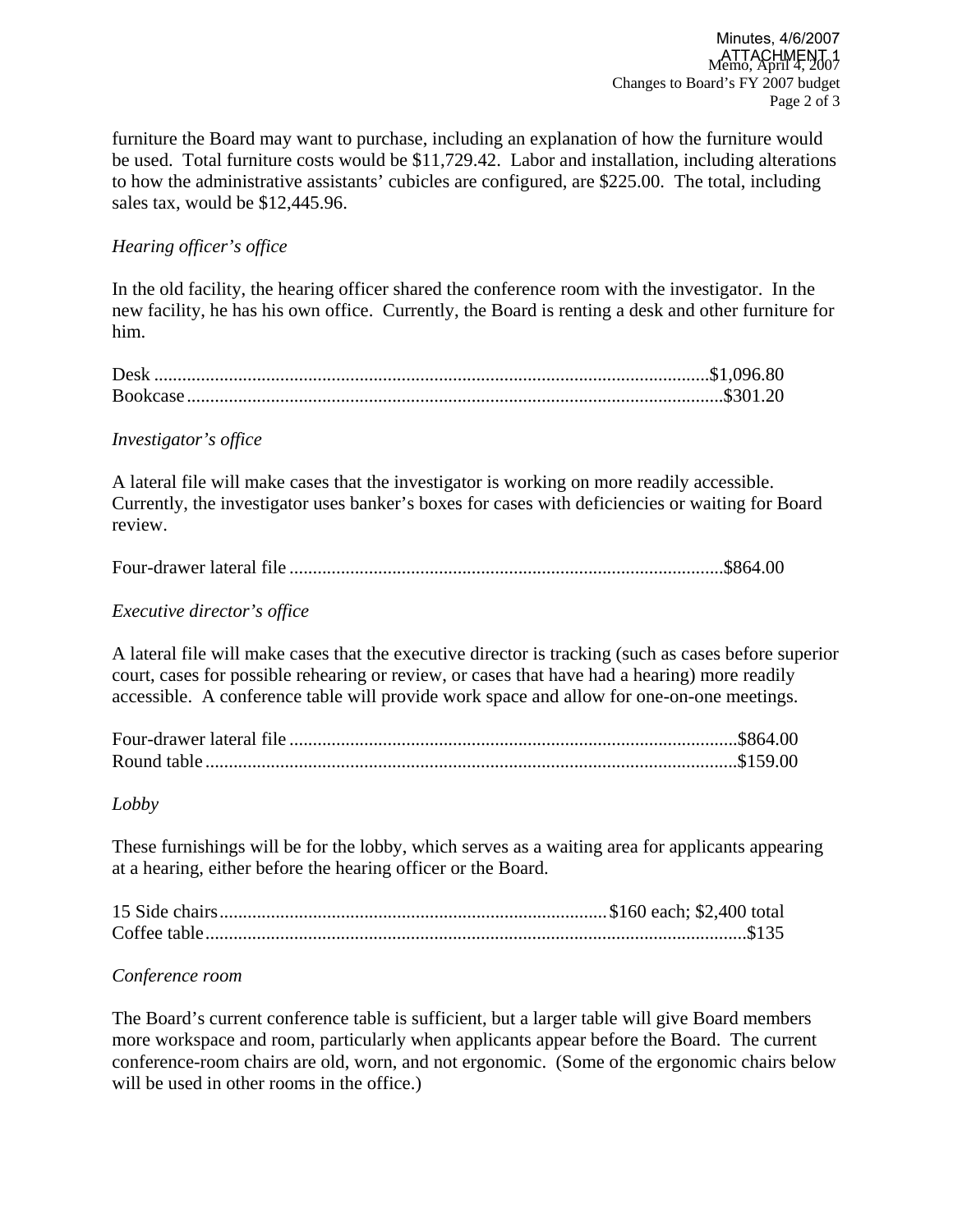furniture the Board may want to purchase, including an explanation of how the furniture would be used. Total furniture costs would be \$11,729.42. Labor and installation, including alterations to how the administrative assistants' cubicles are configured, are \$225.00. The total, including sales tax, would be \$12,445.96.

## *Hearing officer's office*

In the old facility, the hearing officer shared the conference room with the investigator. In the new facility, he has his own office. Currently, the Board is renting a desk and other furniture for him.

### *Investigator's office*

A lateral file will make cases that the investigator is working on more readily accessible. Currently, the investigator uses banker's boxes for cases with deficiencies or waiting for Board review.

|--|--|

### *Executive director's office*

A lateral file will make cases that the executive director is tracking (such as cases before superior court, cases for possible rehearing or review, or cases that have had a hearing) more readily accessible. A conference table will provide work space and allow for one-on-one meetings.

### *Lobby*

These furnishings will be for the lobby, which serves as a waiting area for applicants appearing at a hearing, either before the hearing officer or the Board.

### *Conference room*

The Board's current conference table is sufficient, but a larger table will give Board members more workspace and room, particularly when applicants appear before the Board. The current conference-room chairs are old, worn, and not ergonomic. (Some of the ergonomic chairs below will be used in other rooms in the office.)